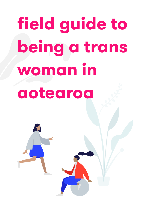# **field guide to being a trans woman in aotearoa**

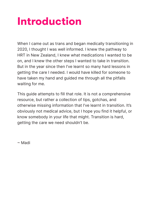### **Introduction**

When I came out as trans and began medically transitioning in 2020, I thought I was well informed. I knew the pathway to HRT in New Zealand, I knew what medications I wanted to be on, and I knew the other steps I wanted to take in transition. But in the year since then I've learnt so many hard lessons in getting the care I needed. I would have killed for someone to have taken my hand and guided me through all the pitfalls waiting for me.

This guide attempts to fill that role. It is not a comprehensive resource, but rather a collection of tips, gotchas, and otherwise missing information that I've learnt in transition. It's obviously not medical advice, but I hope you find it helpful, or know somebody in your life that might. Transition is hard, getting the care we need shouldn't be.

 $\sim$  Madi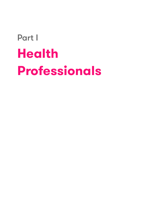# Part I **Health Professionals**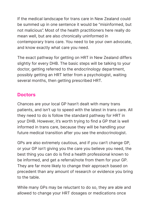If the medical landscape for trans care in New Zealand could be summed up in one sentence it would be "misinformed, but not malicious". Most of the health practitioners here really do mean well, but are also chronically uninformed in contemporary trans care. You need to be your own advocate, and know exactly what care you need.

The exact pathway for getting on HRT in New Zealand differs slightly for every DHB. The basic steps will be talking to your doctor, getting referred to the endocrinology department, possibly getting an HRT letter from a psychologist, waiting several months, then getting prescribed HRT.

#### **Doctors**

Chances are your local GP hasn't dealt with many trans patients, and isn't up to speed with the latest in trans care. All they need to do is follow the standard pathway for HRT in your DHB. However, it's worth trying to find a GP that is well informed in trans care, because they will be handling your future medical transition after you see the endocrinologist.

GPs are also extremely cautious, and if you can't change GP, or your GP isn't giving you the care you believe you need, the best thing you can do is find a health professional known to be informed, and get a referral/note from them for your GP. They are far more likely to change their approach based on precedent than any amount of research or evidence you bring to the table.

While many GPs may be reluctant to do so, they are able and allowed to change your HRT dosages or medications once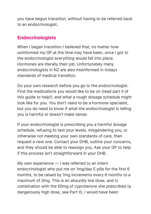you have begun transition, without having to be referred back to an endocrinologist.

#### **Endocrinologists**

When I began transition I believed that, no matter how uninformed my GP at the time may have been, once I got to the endocrinologist everything would fall into place. Hormones are literally their job. Unfortunately many endocrinologists in NZ are also misinformed in todays standards of medical transition.

Do your own research before you go to the endocrinologist. Find the medications you would like to be on (read part II of this quide to help!), and what a rough dosage schedule might look like for you. You don't need to be a hormone specialist, but you do need to know if what the endocrinologist is telling you is harmful or doesn't make sense.

If your endocrinologist is prescribing you a harmful dosage schedule, refusing to test your levels, misgendering you, or otherwise not meeting your own standards of care, then request a new one. Contact your DHB, outline your concerns, and they should be able to reassign you. Ask your GP to help if this process isn't straightforward in your DHB.

My own experience — I was referred to an intern endocrinologist who put me on 1mg/day E pills for the first 6 months, to be raised by 1mg increments every 6 months to a maximum of 3mg. This is an absurdly low dose, and in combination with the 50mg of cyproterone she prescribed (a dangerously high dose, see Part II), I would have been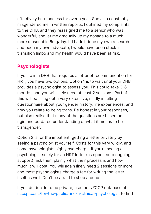effectively hormoneless for over a year. She also constantly misgendered me in written reports. I outlined my complaints to the DHB, and they reassigned me to a senior who was wonderful, and let me gradually up my dosage to a much more reasonable 6mg/day. If I hadn't done my own research and been my own advocate, I would have been stuck in transition limbo and my health would have been at risk.

#### **Psychologists**

If you're in a DHB that requires a letter of recommendation for HRT, you have two options. Option 1 is to wait until your DHB provides a psychologist to assess you. This could take 3-6+ months, and you will likely need at least 2 sessions. Part of this will be filling out a very extensive, mildly insulting questionnaire about your gender history, life experiences, and how you relate to being trans. Be honest in your responses, but also realise that many of the questions are based on a rigid and outdated understanding of what it means to be transgender.

Option 2 is for the impatient, getting a letter privately by seeing a psychologist yourself. Costs for this vary wildly, and some psychologists highly overcharge. If you're seeing a psychologist solely for an HRT letter (as opposed to ongoing support), ask them plainly what their process is and how much it will cost. You will again likely need 2 sessions or more, and most psychologists charge a fee for writing the letter itself as well. Don't be afraid to shop around.

If you do decide to go private, use the NZCCP database at nzccp.co.nz/for-the-public/find-a-clinical-psychologist to find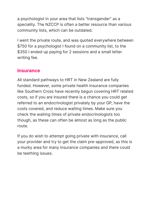a psychologist in your area that lists "transgender" as a speciality. The NZCCP is often a better resource than various community lists, which can be outdated.

I went the private route, and was quoted everywhere between \$750 for a psychologist I found on a community list, to the \$350 I ended up paying for 2 sessions and a small letter writing fee.

#### **Insurance**

All standard pathways to HRT in New Zealand are fully funded. However, some private health insurance companies like Southern Cross have recently begun covering HRT related costs, so if you are insured there is a chance you could get referred to an endocrinologist privately by your GP, have the costs covered, and reduce waiting times. Make sure you check the waiting times of private endocrinologists too though, as these can often be almost as long as the public route.

If you do wish to attempt going private with insurance, call your provider and try to get the claim pre-approved, as this is a murky area for many insurance companies and there could be teething issues.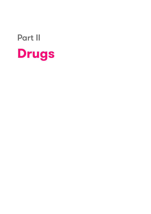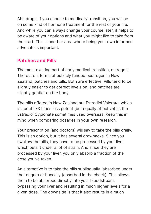Ahh drugs. If you choose to medically transition, you will be on some kind of hormone treatment for the rest of your life. And while you can always change your course later, it helps to be aware of your options and what you might like to take from the start. This is another area where being your own informed advocate is important.

#### **Patches and Pills**

The most exciting part of early medical transition, estrogen! There are 2 forms of publicly funded oestrogen in New Zealand, patches and pills. Both are effective. Pills tend to be slightly easier to get correct levels on, and patches are slightly gentler on the body.

The pills offered in New Zealand are Estradiol Valerate, which is about 2-3 times less potent (but equally effective) as the Estradiol Cypionate sometimes used overseas. Keep this in mind when comparing dosages in your own research.

Your prescription (and doctors) will say to take the pills orally. This is an option, but it has several drawbacks. Since you swallow the pills, they have to be processed by your liver, which puts it under a lot of strain. And since they are processed by your liver, you only absorb a fraction of the dose you've taken.

An alternative is to take the pills sublingually (absorbed under the tongue) or buccally (absorbed in the cheek). This allows them to be absorbed directly into your bloodstream, bypassing your liver and resulting in much higher levels for a given dose. The downside is that it also results in a much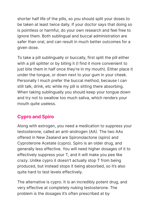shorter half life of the pills, so you should split your doses to be taken at least twice daily. If your doctor says that doing so is pointless or harmful, do your own research and feel free to ignore them. Both sublingual and buccal administration are safer than oral, and can result in much better outcomes for a given dose.

To take a pill sublingually or buccally, first split the pill either with a pill splitter or by biting it (I find it more convenient to just bite them in half once they're in my mouth). Either place it under the tongue, or down next to your gum in your cheek. Personally I much prefer the buccal method, because I can still talk, drink, etc while my pill is sitting there absorbing. When taking sublingually you should keep your tongue down and try not to swallow too much saliva, which renders your mouth quite useless.

#### **Cypro and Spiro**

Along with estrogen, you need a medication to suppress your testosterone, called an anti-androgen (AA). The two AAs offered in New Zealand are Spironolactone (spiro) and Cyproterone Acetate (cypro). Spiro is an older drug, and generally less effective. You will need higher dosages of it to effectively suppress your T, and it will make you pee like crazy. Unlike cypro it doesn't actually stop T from being produced, but instead stops it being absorbed, so it's also quite hard to test levels effectively.

The alternative is cypro. It is an incredibly potent drug, and very effective at completely nuking testosterone. The problem is the dosages it's often prescribed at by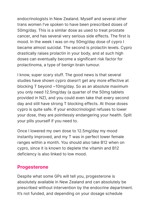endocrinologists in New Zealand. Myself and several other trans women I've spoken to have been prescribed doses of 50mg/day. This is a similar dose as used to treat prostate cancer, and has several very serious side effects. The first is mood. In the week I was on my 50mg/day dose of cypro I became almost suicidal. The second is prolactin levels. Cypro drastically raises prolactin in your body, and at such high doses can eventually become a significant risk factor for prolactinoma, a type of benign brain tumour.

I know, super scary stuff. The good news is that several studies have shown cypro doesn't get any more effective at blocking T beyond ~10mg/day. So as an absolute maximum you only need 12.5mg/day (a quarter of the 50mg tablets provided in NZ), and you could even take that every second day and still have strong T blocking effects. At those doses cypro is quite safe. If your endocrinologist refuses to lower your dose, they are pointlessly endangering your health. Split your pills yourself if you need to.

Once I lowered my own dose to 12.5mg/day my mood instantly improved, and my T was in perfect lower female ranges within a month. You should also take B12 when on cypro, since it is known to deplete the vitamin and B12 deficiency is also linked to low mood.

#### **Progesterone**

Despite what some GPs will tell you, progesterone is absolutely available in New Zealand and can absolutely be prescribed without intervention by the endocrine department. It's not funded, and depending on your dosage schedule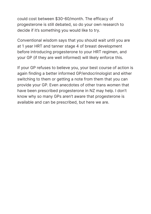could cost between \$30-60/month. The efficacy of progesterone is still debated, so do your own research to decide if it's something you would like to try.

Conventional wisdom says that you should wait until you are at 1 year HRT and tanner stage 4 of breast development before introducing progesterone to your HRT regimen, and your GP (if they are well informed) will likely enforce this.

If your GP refuses to believe you, your best course of action is again finding a better informed GP/endocrinologist and either switching to them or getting a note from them that you can provide your GP. Even anecdotes of other trans women that have been prescribed progesterone in NZ may help. I don't know why so many GPs aren't aware that progesterone is available and can be prescribed, but here we are.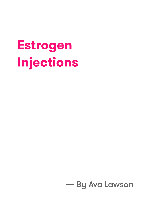# **Estrogen Injections**

### - By Ava Lawson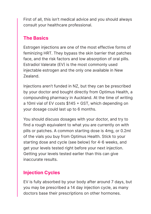First of all, this isn't medical advice and you should always consult your healthcare professional.

#### **The Basics**

Estrogen injections are one of the most effective forms of feminizing HRT. They bypass the skin barrier that patches face, and the risk factors and low absorption of oral pills. Estradiol Valerate (EV) is the most commonly used injectable estrogen and the only one available in New Zealand.

Injections aren't funded in NZ, but they can be prescribed by your doctor and bought directly from Optimus Health, a compounding pharmacy in Auckland. At the time of writing a 10ml vial of EV costs \$145 � GST, which depending on your dosage could last up to 6 months.

You should discuss dosages with your doctor, and try to find a rough equivalent to what you are currently on with pills or patches. A common starting dose is 4mg, or 0.2ml of the vials you buy from Optimus Health. Stick to your starting dose and cycle (see below) for 4-6 weeks, and get your levels tested right before your next injection. Getting your levels tested earlier than this can give inaccurate results.

#### **Injection Cycles**

EV is fully absorbed by your body after around 7 days, but you may be prescribed a 14 day injection cycle, as many doctors base their prescriptions on other hormones.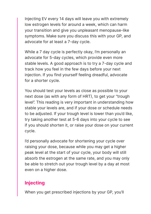Injecting EV every 14 days will leave you with extremely low estrogen levels for around a week, which can harm your transition and give you unpleasant menopause-like symptoms. Make sure you discuss this with your GP, and advocate for at least a 7-day cycle.

While a 7 day cycle is perfectly okay, I'm personally an advocate for 5-day cycles, which provide even more stable levels. A good approach is to try a 7-day cycle and track how you feel in the few days before your next injection. If you find yourself feeling dreadful, advocate for a shorter cycle.

You should test your levels as close as possible to your next dose (as with any form of HRT), to get your "trough level". This reading is very important in understanding how stable your levels are, and if your dose or schedule needs to be adjusted. If your trough level is lower than you'd like, try taking another test at 5-6 days into your cycle to see if you should shorten it, or raise your dose on your current cycle.

I'd personally advocate for shortening your cycle over raising your dose, because while you may get a higher peak level at the start of your cycle, your body will still absorb the estrogen at the same rate, and you may only be able to stretch out your trough level by a day at most even on a higher dose.

#### **Injecting**

When you get prescribed injections by your GP, you'll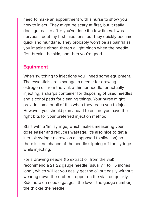need to make an appointment with a nurse to show you how to inject. They might be scary at first, but it really does get easier after you've done it a few times. I was nervous about my first injections, but they quickly became quick and mundane. They probably won't be as painful as you imagine either, there's a light pinch when the needle first breaks the skin, and then you're good.

#### **Equipment**

When switching to injections you'll need some equipment. The essentials are a syringe, a needle for drawing estrogen oil from the vial, a thinner needle for actually injecting, a sharps container for disposing of used needles, and alcohol pads for cleaning things. Your nurse might provide some or all of this when they teach you to inject. However, you should plan ahead to ensure you have the right bits for your preferred injection method.

Start with a 1ml syringe, which makes measuring your dose easier and reduces wastage. It's also nice to get a luer lok syringe (screw-on as opposed to slide-on) so there is zero chance of the needle slipping off the syringe while injecting.

For a drawing needle (to extract oil from the vial) I recommend a 21-22 gauge needle (usually 1 to 1.5 inches long), which will let you easily get the oil out easily without wearing down the rubber stopper on the vial too quickly. Side note on needle gauges: the lower the gauge number, the thicker the needle.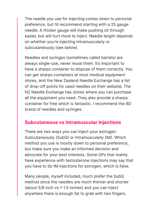The needle you use for injecting comes down to personal preference, but I'd recommend starting with a 25 gauge needle. A thicker gauge will make pushing oil through easier, but will hurt more to inject. Needle length depends on whether you're injecting intramuscularly or subcutaneously (see below).

Needles and syringes (sometimes called barrels) are always single-use, never reuse them. It's important to have a sharps container to dispose of them correctly. You can get sharps containers at most medical equipment stores, and the New Zealand Needle Exchange has a list of drop-off points for used needles on their website. The NZ Needle Exchange has stores where you can purchase all the equipment you need. They also provide a sharps container for free which is fantastic. I recommend the BD brand of needles and syringes.

#### **Subcutaneous vs Intramuscular Injections**

There are two ways you can inject your estrogen: Subcutaneously (SubQ) or Intramuscularly (IM). Which method you use is mostly down to personal preference, but make sure you make an informed decision and advocate for your best interests. Some GPs that mainly have experience with testosterone injections may say that you have to do IM injections for estrogen, which is false.

Many people, myself included, much prefer the SubQ method since the needles are much thinner and shorter (about 5/8 inch vs 1�1.5 inches) and you can inject anywhere there is enough fat to grab with two fingers.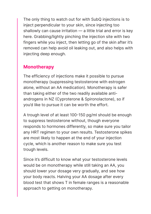The only thing to watch out for with SubQ injections is to inject perpendicular to your skin, since injecting too shallowly can cause irritation — a little trial and error is key here. Grabbing/lightly pinching the injection site with two fingers while you inject, then letting go of the skin after it's removed can help avoid oil leaking out, and also helps with injecting deep enough.

#### **Monotherapy**

The efficiency of injections make it possible to pursue monotherapy (suppressing testosterone with estrogen alone, without an AA medication). Monotherapy is safer than taking either of the two readily available antiandrogens in NZ (Cyproterone & Spironolactone), so if you'd like to pursue it can be worth the effort.

A trough level of at least 100-150 pg/ml should be enough to suppress testosterone without, though everyone responds to hormones differently, so make sure you tailor any HRT regimen to your own results. Testosterone spikes are most likely to happen at the end of your injection cycle, which is another reason to make sure you test trough levels.

Since it's difficult to know what your testosterone levels would be on monotherapy while still taking an AA, you should lower your dosage very gradually, and see how your body reacts. Halving your AA dosage after every blood test that shows T in female ranges is a reasonable approach to getting on monotherapy.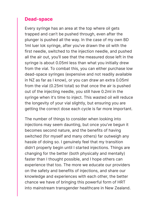#### **Dead-space**

Every syringe has an area at the top where oil gets trapped and can't be pushed through, even after the plunger is pushed all the way. In the case of my own BD 1ml luer lok syringe, after you've drawn the oil with the first needle, switched to the injection needle, and pushed all the air out, you'll see that the measured dose left in the syringe is about 0.05ml less than what you initially drew from the vial. To combat this, you can either purchase low dead-space syringes (expensive and not readily available in NZ as far as I know), or you can draw an extra 0.05ml from the vial (0.25ml total) so that once the air is pushed out of the injecting needle, you still have 0.2ml in the syringe when it's time to inject. This wasted oil will reduce the longevity of your vial slightly, but ensuring you are getting the correct dose each cycle is far more important.

The number of things to consider when looking into injections may seem daunting, but once you've begun it becomes second nature, and the benefits of having switched (for myself and many others) far outweigh any hassle of doing so. I genuinely feel that my transition didn't properly begin until I started injections. Things are changing for the better (both physically and mentally) faster than I thought possible, and I hope others can experience that too. The more we educate our providers on the safety and benefits of injections, and share our knowledge and experiences with each other, the better chance we have of bringing this powerful form of HRT into mainstream transgender healthcare in New Zealand.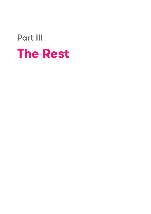### Part III **The Rest**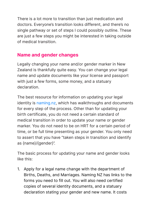There is a lot more to transition than just medication and doctors. Everyone's transition looks different, and there's no single pathway or set of steps I could possibly outline. These are just a few steps you might be interested in taking outside of medical transition.

#### **Name and gender changes**

Legally changing your name and/or gender marker in New Zealand is thankfully quite easy. You can change your legal name and update documents like your license and passport with just a few forms, some money, and a statuary declaration.

The best resource for information on updating your legal identity is naming.nz, which has walkthroughs and documents for every step of the process. Other than for updating your birth certificate, you do not need a certain standard of medical transition in order to update your name or gender marker. You do not need to be on HRT for a certain period of time, or be full time presenting as your gender. You only need to assert that you have "taken steps in transition and identify as {name}/{gender}".

The basic process for updating your name and gender looks like this:

1. Apply for a legal name change with the department of Births, Deaths, and Marriages. Naming NZ has links to the forms you need to fill out. You will also need certified copies of several identity documents, and a statuary declaration stating your gender and new name. It costs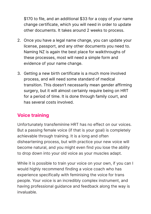\$170 to file, and an additional \$33 for a copy of your name change certificate, which you will need in order to update other documents. It takes around 2 weeks to process.

- 2. Once you have a legal name change, you can update your license, passport, and any other documents you need to. Naming NZ is again the best place for walkthroughs of these processes, most will need a simple form and evidence of your name change.
- 3. Getting a new birth certificate is a much more involved process, and will need some standard of medical transition. This doesn't necessarily mean gender affirming surgery, but it will almost certainly require being on HRT for a period of time. It is done through family court, and has several costs involved.

#### **Voice training**

Unfortunately transfeminine HRT has no effect on our voices. But a passing female voice (if that is your goal) is completely achievable through training. It is a long and often disheartening process, but with practice your new voice will become natural, and you might even find you lose the ability to drop down into your old voice as your muscles adapt.

While it is possible to train your voice on your own, if you can I would highly recommend finding a voice coach who has experience specifically with feminising the voice for trans people. Your voice is an incredibly complex instrument, and having professional guidance and feedback along the way is invaluable.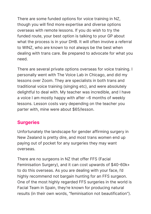There are some funded options for voice training in NZ, though you will find more expertise and diverse options overseas with remote lessons. If you do wish to try the funded route, your best option is talking to your GP about what the process is in your DHB. It will often involve a referral to WINZ, who are known to not always be the best when dealing with trans care. Be prepared to advocate for what you need.

There are several private options overseas for voice training. I personally went with The Voice Lab in Chicago, and did my lessons over Zoom. They are specialists in both trans and traditional voice training (singing etc), and were absolutely delightful to deal with. My teacher was incredible, and I have a voice I am mostly happy with after ~6 months of weekly lessons. Lesson costs vary depending on the teacher you parter with, mine were about \$65/lesson.

#### **Surgeries**

Unfortunately the landscape for gender affirming surgery in New Zealand is pretty dire, and most trans women end up paying out of pocket for any surgeries they may want overseas.

There are no surgeons in NZ that offer FFS (Facial Feminisation Surgery), and it can cost upwards of \$40-60k+ to do this overseas. As you are dealing with your face, I'd highly recommend not bargain hunting for an FFS surgeon. One of the most highly regarded FFS surgeries in the world is Facial Team in Spain, they're known for producing natural results (in their own words, "feminisation not beautification").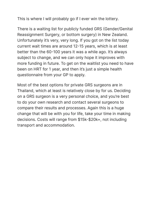This is where I will probably go if I ever win the lottery.

There is a waiting list for publicly funded GRS (Gender/Genital Reassignment Surgery, or bottom surgery) in New Zealand. Unfortunately it's very, very long. If you got on the list today current wait times are around 12-15 years, which is at least better than the 60-100 years it was a while ago. It's always subject to change, and we can only hope it improves with more funding in future. To get on the waitlist you need to have been on HRT for 1 year, and then it's just a simple health questionnaire from your GP to apply.

Most of the best options for private GRS surgeons are in Thailand, which at least is relatively close by for us. Deciding on a GRS surgeon is a very personal choice, and you're best to do your own research and contact several surgeons to compare their results and processes. Again this is a huge change that will be with you for life, take your time in making decisions. Costs will range from \$15k-\$20k+, not including transport and accommodation.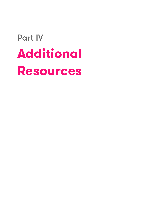## Part IV **Additional Resources**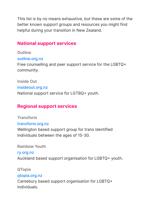This list is by no means exhaustive, but these are some of the better known support groups and resources you might find helpful during your transition in New Zealand.

#### **National support services**

**Outline** outline.org.nz Free counselling and peer support service for the LGBTQ+ community.

**Inside Out** insideout.org.nz National support service for LGTBQ+ youth.

#### **Regional support services**

**Tranzform** tranzform.org.nz Wellington based support group for trans identified individuals between the ages of 15-30.

**Rainbow Youth**

ry.org.nz Auckland based support organisation for LGBTQ+ youth.

**QTopia**

#### qtopia.org.nz

Cantebury based support organisation for LGBTQ+ individuals.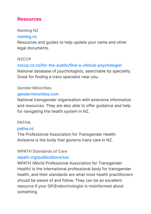#### **Resources**

#### **Naming NZ**

#### naming.nz

Resources and guides to help update your name and other legal documents.

#### **NZCCP**

#### nzccp.co.nz/for-the-public/find-a-clinical-psychologist National database of psychologists, searchable by speciality. Great for finding a trans specialist near you.

#### **Gender Minorities**

#### genderminorities.com

National transgender organisation with extensive information and resources. They are also able to offer guidance and help for navigating the health system in NZ.

#### **PATHA**

#### patha.nz

The Professional Association for Transgender Health Aotearoa is the body that governs trans care in NZ.

#### **WPATH Standards of Care**

#### wpath.org/publications/soc

WPATH (World Professional Association for Transgender Health) is the international professional body for transgender health, and their standards are what most health practitioners should be aware of and follow. They can be an excellent resource if your GP/Endocrinologist is misinformed about something